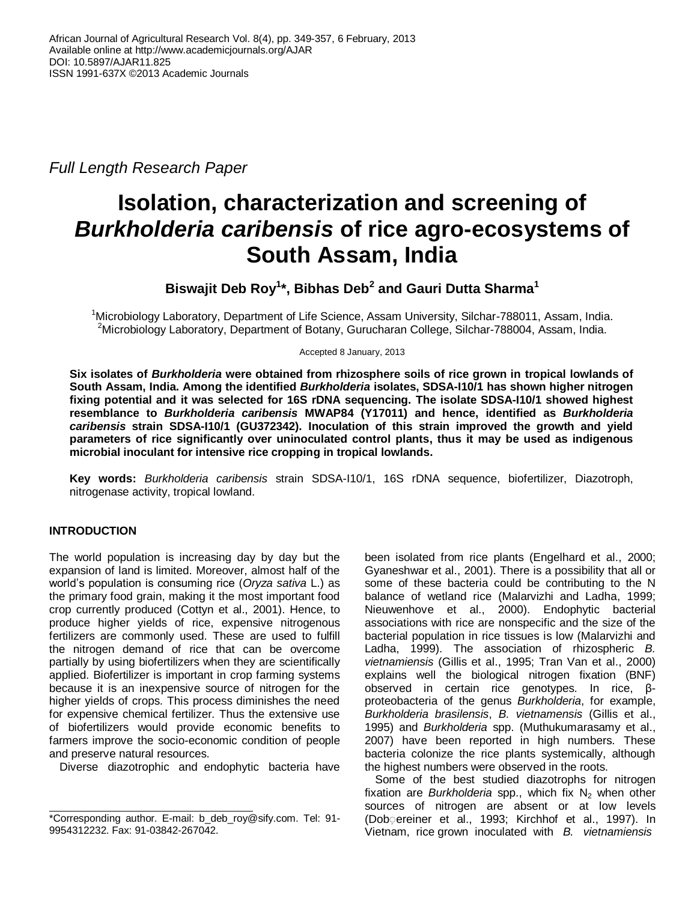*Full Length Research Paper*

# **Isolation, characterization and screening of** *Burkholderia caribensis* **of rice agro-ecosystems of South Assam, India**

**Biswajit Deb Roy<sup>1</sup> \*, Bibhas Deb<sup>2</sup> and Gauri Dutta Sharma<sup>1</sup>**

<sup>1</sup>Microbiology Laboratory, Department of Life Science, Assam University, Silchar-788011, Assam, India. <sup>2</sup>Microbiology Laboratory, Department of Botany, Gurucharan College, Silchar-788004, Assam, India.

Accepted 8 January, 2013

**Six isolates of** *Burkholderia* **were obtained from rhizosphere soils of rice grown in tropical lowlands of South Assam, India. Among the identified** *Burkholderia* **isolates, SDSA-I10/1 has shown higher nitrogen fixing potential and it was selected for 16S rDNA sequencing. The isolate SDSA-I10/1 showed highest resemblance to** *Burkholderia caribensis* **MWAP84 (Y17011) and hence, identified as** *Burkholderia caribensis* **strain SDSA-I10/1 (GU372342). Inoculation of this strain improved the growth and yield parameters of rice significantly over uninoculated control plants, thus it may be used as indigenous microbial inoculant for intensive rice cropping in tropical lowlands.**

**Key words:** *Burkholderia caribensis* strain SDSA-I10/1, 16S rDNA sequence, biofertilizer, Diazotroph, nitrogenase activity, tropical lowland.

# **INTRODUCTION**

The world population is increasing day by day but the expansion of land is limited. Moreover, almost half of the world's population is consuming rice (*Oryza sativa* L.) as the primary food grain, making it the most important food crop currently produced (Cottyn et al., 2001). Hence, to produce higher yields of rice, expensive nitrogenous fertilizers are commonly used. These are used to fulfill the nitrogen demand of rice that can be overcome partially by using biofertilizers when they are scientifically applied. Biofertilizer is important in crop farming systems because it is an inexpensive source of nitrogen for the higher yields of crops. This process diminishes the need for expensive chemical fertilizer. Thus the extensive use of biofertilizers would provide economic benefits to farmers improve the socio-economic condition of people and preserve natural resources.

Diverse diazotrophic and endophytic bacteria have

been isolated from rice plants (Engelhard et al., 2000; Gyaneshwar et al., 2001). There is a possibility that all or some of these bacteria could be contributing to the N balance of wetland rice (Malarvizhi and Ladha, 1999; Nieuwenhove et al., 2000). Endophytic bacterial associations with rice are nonspecific and the size of the bacterial population in rice tissues is low (Malarvizhi and Ladha, 1999). The association of rhizospheric *B. vietnamiensis* (Gillis et al., 1995; Tran Van et al., 2000) explains well the biological nitrogen fixation (BNF) observed in certain rice genotypes. In rice, βproteobacteria of the genus *Burkholderia*, for example, *Burkholderia brasilensis*, *B. vietnamensis* (Gillis et al., 1995) and *Burkholderia* spp. (Muthukumarasamy et al., 2007) have been reported in high numbers. These bacteria colonize the rice plants systemically, although the highest numbers were observed in the roots.

Some of the best studied diazotrophs for nitrogen fixation are *Burkholderia* spp., which fix  $N_2$  when other sources of nitrogen are absent or at low levels (Dob ereiner et al., 1993; Kirchhof et al., 1997). In Vietnam, rice grown inoculated with *B. vietnamiensis* 

<sup>\*</sup>Corresponding author. E-mail: [b\\_deb\\_roy@sify.com.](mailto:b_deb_roy@sify.com) Tel: 91- 9954312232. Fax: 91-03842-267042.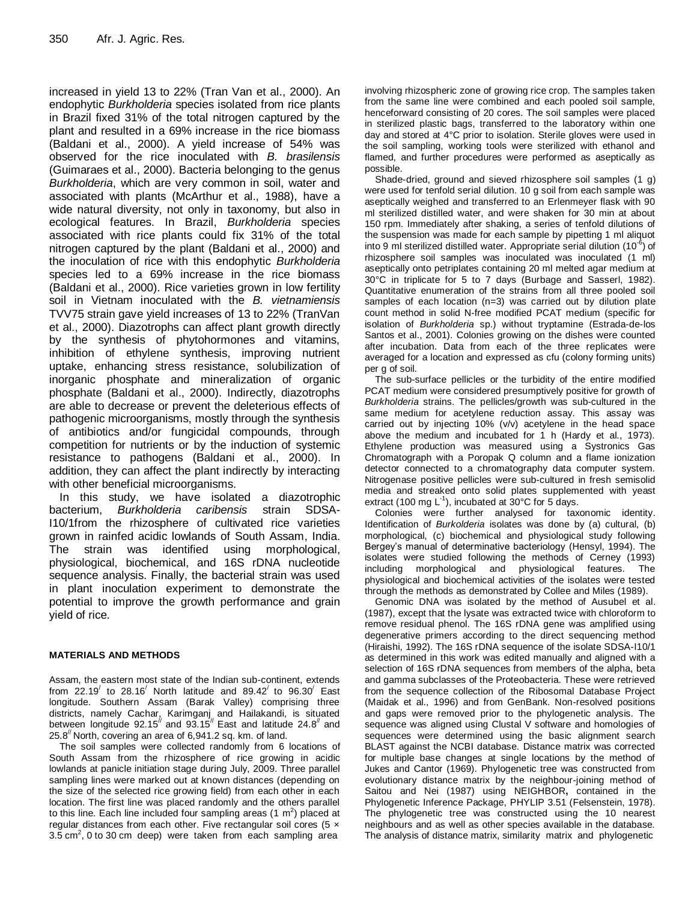increased in yield 13 to 22% (Tran Van et al., 2000). An endophytic *Burkholderia* species isolated from rice plants in Brazil fixed 31% of the total nitrogen captured by the plant and resulted in a 69% increase in the rice biomass (Baldani et al., 2000). A yield increase of 54% was observed for the rice inoculated with *B. brasilensis*  (Guimaraes et al., 2000). Bacteria belonging to the genus *Burkholderia*, which are very common in soil, water and associated with plants (McArthur et al., 1988), have a wide natural diversity, not only in taxonomy, but also in ecological features. In Brazil, *Burkholderia* species associated with rice plants could fix 31% of the total nitrogen captured by the plant (Baldani et al., 2000) and the inoculation of rice with this endophytic *Burkholderia*  species led to a 69% increase in the rice biomass (Baldani et al., 2000). Rice varieties grown in low fertility soil in Vietnam inoculated with the *B. vietnamiensis*  TVV75 strain gave yield increases of 13 to 22% (TranVan et al., 2000). Diazotrophs can affect plant growth directly by the synthesis of phytohormones and vitamins, inhibition of ethylene synthesis, improving nutrient uptake, enhancing stress resistance, solubilization of inorganic phosphate and mineralization of organic phosphate (Baldani et al., 2000). Indirectly, diazotrophs are able to decrease or prevent the deleterious effects of pathogenic microorganisms, mostly through the synthesis of antibiotics and/or fungicidal compounds, through competition for nutrients or by the induction of systemic resistance to pathogens (Baldani et al., 2000). In addition, they can affect the plant indirectly by interacting with other beneficial microorganisms.

In this study, we have isolated a diazotrophic bacterium, *Burkholderia caribensis* strain SDSA-I10/1from the rhizosphere of cultivated rice varieties grown in rainfed acidic lowlands of South Assam, India. The strain was identified using morphological, physiological, biochemical, and 16S rDNA nucleotide sequence analysis. Finally, the bacterial strain was used in plant inoculation experiment to demonstrate the potential to improve the growth performance and grain yield of rice.

### **MATERIALS AND METHODS**

Assam, the eastern most state of the Indian sub-continent, extends from 22.19<sup> $\prime$ </sup> to 28.16<sup> $\prime$ </sup> North latitude and 89.42 $\prime$  to 96.30 $\prime$  East longitude. Southern Assam (Barak Valley) comprising three districts, namely Cachar, Karimganj and Hailakandi, is situated between longitude  $92.15<sup>7</sup>$  and  $93.15<sup>7</sup>$  East and latitude 24.8<sup> $7$ </sup> and  $25.8$ <sup>"</sup> North, covering an area of 6,941.2 sq. km. of land.

The soil samples were collected randomly from 6 locations of South Assam from the rhizosphere of rice growing in acidic lowlands at panicle initiation stage during July, 2009. Three parallel sampling lines were marked out at known distances (depending on the size of the selected rice growing field) from each other in each location. The first line was placed randomly and the others parallel to this line. Each line included four sampling areas (1  $m^2$ ) placed at regular distances from each other. Five rectangular soil cores (5  $\times$  $3.5 \text{ cm}^2$ , 0 to 30 cm deep) were taken from each sampling area

involving rhizospheric zone of growing rice crop. The samples taken from the same line were combined and each pooled soil sample, henceforward consisting of 20 cores. The soil samples were placed in sterilized plastic bags, transferred to the laboratory within one day and stored at 4°C prior to isolation. Sterile gloves were used in the soil sampling, working tools were sterilized with ethanol and flamed, and further procedures were performed as aseptically as possible.

Shade-dried, ground and sieved rhizosphere soil samples (1 g) were used for tenfold serial dilution. 10 g soil from each sample was aseptically weighed and transferred to an Erlenmeyer flask with 90 ml sterilized distilled water, and were shaken for 30 min at about 150 rpm. Immediately after shaking, a series of tenfold dilutions of the suspension was made for each sample by pipetting 1 ml aliquot into 9 ml sterilized distilled water. Appropriate serial dilution (10 $6$ ) of rhizosphere soil samples was inoculated was inoculated (1 ml) aseptically onto petriplates containing 20 ml melted agar medium at 30°C in triplicate for 5 to 7 days (Burbage and Sasserl, 1982). Quantitative enumeration of the strains from all three pooled soil samples of each location (n=3) was carried out by dilution plate count method in solid N-free modified PCAT medium (specific for isolation of *Burkholderia* sp.) without tryptamine (Estrada-de-los Santos et al., 2001). Colonies growing on the dishes were counted after incubation. Data from each of the three replicates were averaged for a location and expressed as cfu (colony forming units) per g of soil.

The sub-surface pellicles or the turbidity of the entire modified PCAT medium were considered presumptively positive for growth of *Burkholderia* strains. The pellicles/growth was sub-cultured in the same medium for acetylene reduction assay. This assay was carried out by injecting 10% (v/v) acetylene in the head space above the medium and incubated for 1 h (Hardy et al., 1973). Ethylene production was measured using a Systronics Gas Chromatograph with a Poropak Q column and a flame ionization detector connected to a chromatography data computer system. Nitrogenase positive pellicles were sub-cultured in fresh semisolid media and streaked onto solid plates supplemented with yeast extract (100 mg  $L^{-1}$ ), incubated at 30°C for 5 days.

Colonies were further analysed for taxonomic identity. Identification of *Burkolderia* isolates was done by (a) cultural, (b) morphological, (c) biochemical and physiological study following Bergey's manual of determinative bacteriology (Hensyl, 1994). The isolates were studied following the methods of Cerney (1993) including morphological and physiological features. The physiological and biochemical activities of the isolates were tested through the methods as demonstrated by Collee and Miles (1989).

Genomic DNA was isolated by the method of Ausubel et al. (1987), except that the lysate was extracted twice with chloroform to remove residual phenol. The 16S rDNA gene was amplified using degenerative primers according to the direct sequencing method (Hiraishi, 1992). The 16S rDNA sequence of the isolate SDSA-I10/1 as determined in this work was edited manually and aligned with a selection of 16S rDNA sequences from members of the alpha, beta and gamma subclasses of the Proteobacteria. These were retrieved from the sequence collection of the Ribosomal Database Project (Maidak et al., 1996) and from GenBank. Non-resolved positions and gaps were removed prior to the phylogenetic analysis. The sequence was aligned using Clustal V software and homologies of sequences were determined using the basic alignment search BLAST against the NCBI database. Distance matrix was corrected for multiple base changes at single locations by the method of Jukes and Cantor (1969). Phylogenetic tree was constructed from evolutionary distance matrix by the neighbour-joining method of Saitou and Nei (1987) using NEIGHBOR**,** contained in the Phylogenetic Inference Package, PHYLIP 3.51 (Felsenstein, 1978). The phylogenetic tree was constructed using the 10 nearest neighbours and as well as other species available in the database. The analysis of distance matrix, similarity matrix and phylogenetic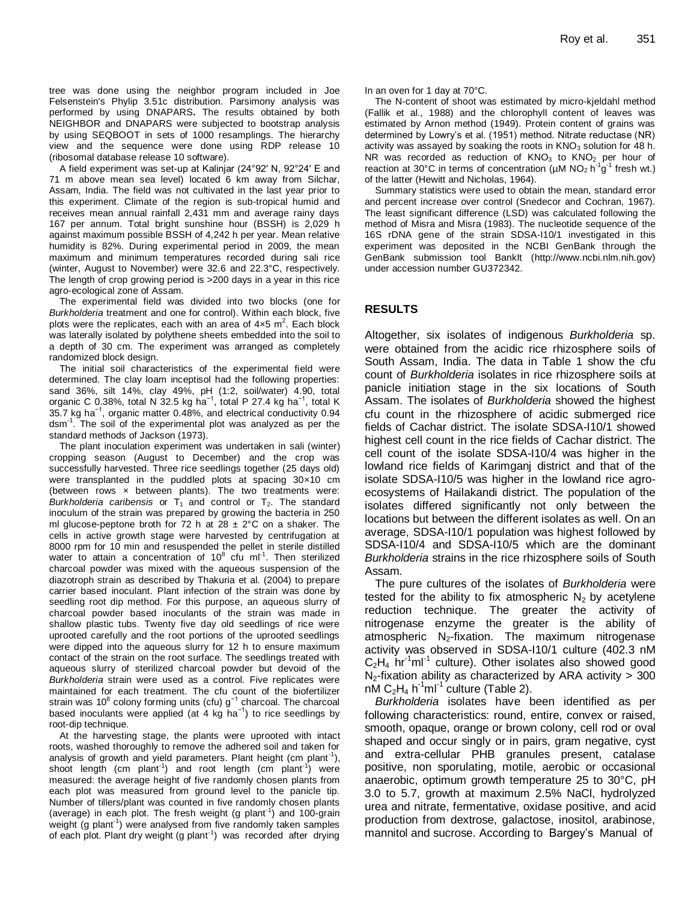tree was done using the neighbor program included in Joe Felsenstein's [Phylip 3.51c](http://rdp8.cme.msu.edu/cgis/phylip.cgi?mode=Help#phyref) distribution. Parsimony analysis was performed by using DNAPARS**.** The results obtained by both NEIGHBOR and DNAPARS were subjected to bootstrap analysis by using SEQBOOT in sets of 1000 resamplings. The hierarchy view and the sequence were done using RDP release 10 (ribosomal database release 10 software).

A field experiment was set-up at Kalinjar (24°92′ N, 92°24′ E and 71 m above mean sea level) located 6 km away from Silchar, Assam, India. The field was not cultivated in the last year prior to this experiment. Climate of the region is sub-tropical humid and receives mean annual rainfall 2,431 mm and average rainy days 167 per annum. Total bright sunshine hour (BSSH) is 2,029 h against maximum possible BSSH of 4,242 h per year. Mean relative humidity is 82%. During experimental period in 2009, the mean maximum and minimum temperatures recorded during sali rice (winter, August to November) were 32.6 and 22.3°C, respectively. The length of crop growing period is >200 days in a year in this rice agro-ecological zone of Assam.

The experimental field was divided into two blocks (one for *Burkholderia* treatment and one for control). Within each block, five plots were the replicates, each with an area of  $4 \times 5$  m<sup>2</sup>. Each block was laterally isolated by polythene sheets embedded into the soil to a depth of 30 cm. The experiment was arranged as completely randomized block design.

The initial soil characteristics of the experimental field were determined. The clay loam inceptisol had the following properties: sand 36%, silt 14%, clay 49%, pH (1:2, soil/water) 4.90, total organic C 0.38%, total N 32.5 kg ha<sup>-1</sup>, total P 27.4 kg ha<sup>-1</sup>, total K 35.7 kg ha−1, organic matter 0.48%, and electrical conductivity 0.94 dsm-1 . The soil of the experimental plot was analyzed as per the standard methods of Jackson (1973).

The plant inoculation experiment was undertaken in sali (winter) cropping season (August to December) and the crop was successfully harvested. Three rice seedlings together (25 days old) were transplanted in the puddled plots at spacing 30×10 cm (between rows  $\times$  between plants). The two treatments were: *Burkholderia caribensis* or  $T_1$  and control or  $T_2$ . The standard inoculum of the strain was prepared by growing the bacteria in 250 ml glucose-peptone broth for 72 h at  $28 \pm 2^{\circ}$ C on a shaker. The cells in active growth stage were harvested by centrifugation at 8000 rpm for 10 min and resuspended the pellet in sterile distilled water to attain a concentration of  $10^8$  cfu ml<sup>-1</sup>. Then sterilized charcoal powder was mixed with the aqueous suspension of the diazotroph strain as described by Thakuria et al. (2004) to prepare carrier based inoculant. Plant infection of the strain was done by seedling root dip method. For this purpose, an aqueous slurry of charcoal powder based inoculants of the strain was made in shallow plastic tubs. Twenty five day old seedlings of rice were uprooted carefully and the root portions of the uprooted seedlings were dipped into the aqueous slurry for 12 h to ensure maximum contact of the strain on the root surface. The seedlings treated with aqueous slurry of sterilized charcoal powder but devoid of the *Burkholderia* strain were used as a control. Five replicates were maintained for each treatment. The cfu count of the biofertilizer strain was 10<sup>8</sup> colony forming units (cfu) g<sup>-1</sup> charcoal. The charcoal based inoculants were applied (at 4 kg ha<sup>-1</sup>) to rice seedlings by root-dip technique.

At the harvesting stage, the plants were uprooted with intact roots, washed thoroughly to remove the adhered soil and taken for analysis of growth and yield parameters. Plant height (cm plant<sup>-1</sup>), shoot length (cm plant<sup>-1</sup>) and root length (cm plant<sup>-1</sup>) were measured: the average height of five randomly chosen plants from each plot was measured from ground level to the panicle tip. Number of tillers/plant was counted in five randomly chosen plants (average) in each plot. The fresh weight (g plant<sup>-1</sup>) and 100-grain weight (g plant<sup>-1</sup>) were analysed from five randomly taken samples of each plot. Plant dry weight (g plant<sup>-1</sup>) was recorded after drying

In an oven for 1 day at 70°C.

The N-content of shoot was estimated by micro-kjeldahl method (Fallik et al., 1988) and the chlorophyll content of leaves was estimated by Arnon method (1949). Protein content of grains was determined by Lowry's et al. (1951) method. Nitrate reductase (NR) activity was assayed by soaking the roots in  $KNO<sub>3</sub>$  solution for 48 h. NR was recorded as reduction of  $KNO<sub>3</sub>$  to  $KNO<sub>2</sub>$  per hour of reaction at 30°C in terms of concentration ( $\mu$ M NO<sub>2</sub> h<sup>-1</sup>g<sup>-1</sup> fresh wt.) of the latter (Hewitt and Nicholas, 1964).

Summary statistics were used to obtain the mean, standard error and percent increase over control (Snedecor and Cochran, 1967). The least significant difference (LSD) was calculated following the method of Misra and Misra (1983). The nucleotide sequence of the 16S rDNA gene of the strain SDSA-I10/1 investigated in this experiment was deposited in the NCBI GenBank through the GenBank submission tool BankIt [\(http://www.ncbi.nlm.nih.gov\)](http://www.ncbi.nlm.nih.gov/) under accession number GU372342.

### **RESULTS**

Altogether, six isolates of indigenous *Burkholderia* sp. were obtained from the acidic rice rhizosphere soils of South Assam, India. The data in Table 1 show the cfu count of *Burkholderia* isolates in rice rhizosphere soils at panicle initiation stage in the six locations of South Assam. The isolates of *Burkholderia* showed the highest cfu count in the rhizosphere of acidic submerged rice fields of Cachar district. The isolate SDSA-I10/1 showed highest cell count in the rice fields of Cachar district. The cell count of the isolate SDSA-I10/4 was higher in the lowland rice fields of Karimganj district and that of the isolate SDSA-I10/5 was higher in the lowland rice agroecosystems of Hailakandi district. The population of the isolates differed significantly not only between the locations but between the different isolates as well. On an average, SDSA-I10/1 population was highest followed by SDSA-I10/4 and SDSA-I10/5 which are the dominant *Burkholderia* strains in the rice rhizosphere soils of South Assam*.*

The pure cultures of the isolates of *Burkholderia* were tested for the ability to fix atmospheric  $N_2$  by acetylene reduction technique. The greater the activity of nitrogenase enzyme the greater is the ability of atmospheric  $N_2$ -fixation. The maximum nitrogenase activity was observed in SDSA-I10/1 culture (402.3 nM  $C_2H_4$  hr<sup>-1</sup>ml<sup>-1</sup> culture). Other isolates also showed good  $N_2$ -fixation ability as characterized by ARA activity > 300  $n\overline{M} C_2H_4 h^{-1}mI^{-1}$  culture (Table 2).

*Burkholderia* isolates have been identified as per following characteristics: round, entire, convex or raised, smooth, opaque, orange or brown colony, cell rod or oval shaped and occur singly or in pairs, gram negative, cyst and extra-cellular PHB granules present, catalase positive, non sporulating, motile, aerobic or occasional anaerobic, optimum growth temperature 25 to 30°C, pH 3.0 to 5.7, growth at maximum 2.5% NaCl, hydrolyzed urea and nitrate, fermentative, oxidase positive, and acid production from dextrose, galactose, inositol, arabinose, mannitol and sucrose. According to Bargey's Manual of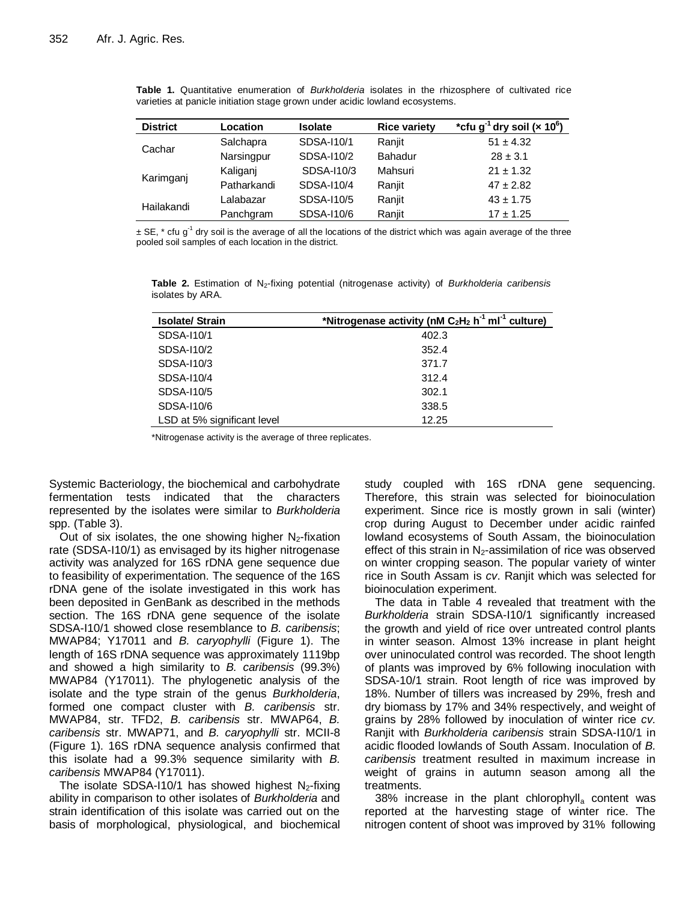| <b>District</b> | Location    | <b>Isolate</b> | <b>Rice variety</b> | *cfu g <sup>-1</sup> dry soil (x 10 <sup>6</sup> ) |
|-----------------|-------------|----------------|---------------------|----------------------------------------------------|
|                 | Salchapra   | SDSA-110/1     | Ranjit              | $51 \pm 4.32$                                      |
| Cachar          | Narsingpur  | SDSA-110/2     | <b>Bahadur</b>      | $28 \pm 3.1$                                       |
|                 | Kaliganj    | SDSA-110/3     | Mahsuri             | $21 \pm 1.32$                                      |
| Karimganj       | Patharkandi | SDSA-110/4     | Ranjit              | $47 \pm 2.82$                                      |
|                 | Lalabazar   | SDSA-110/5     | Ranjit              | $43 \pm 1.75$                                      |
| Hailakandi      | Panchgram   | SDSA-110/6     | Ranjit              | $17 \pm 1.25$                                      |

**Table 1.** Quantitative enumeration of *Burkholderia* isolates in the rhizosphere of cultivated rice varieties at panicle initiation stage grown under acidic lowland ecosystems.

 $\pm$  SE,  $*$  cfu g<sup>-1</sup> dry soil is the average of all the locations of the district which was again average of the three pooled soil samples of each location in the district.

| <b>Isolate/Strain</b>       | *Nitrogenase activity (nM C <sub>2</sub> H <sub>2</sub> h <sup>-1</sup> mI <sup>-1</sup> culture) |
|-----------------------------|---------------------------------------------------------------------------------------------------|
| SDSA-110/1                  | 402.3                                                                                             |
| SDSA-110/2                  | 352.4                                                                                             |
| SDSA-110/3                  | 371.7                                                                                             |
| SDSA-110/4                  | 312.4                                                                                             |
| SDSA-110/5                  | 302.1                                                                                             |
| SDSA-110/6                  | 338.5                                                                                             |
| LSD at 5% significant level | 12.25                                                                                             |

**Table 2.** Estimation of N2-fixing potential (nitrogenase activity) of *Burkholderia caribensis* isolates by ARA.

\*Nitrogenase activity is the average of three replicates.

Systemic Bacteriology, the biochemical and carbohydrate fermentation tests indicated that the characters represented by the isolates were similar to *Burkholderia*  spp. (Table 3).

Out of six isolates, the one showing higher  $N_2$ -fixation rate (SDSA-I10/1) as envisaged by its higher nitrogenase activity was analyzed for 16S rDNA gene sequence due to feasibility of experimentation. The sequence of the 16S rDNA gene of the isolate investigated in this work has been deposited in GenBank as described in the methods section. The 16S rDNA gene sequence of the isolate SDSA-I10/1 showed close resemblance to *B. caribensis*; MWAP84; Y17011 and *B. caryophylli* (Figure 1). The length of 16S rDNA sequence was approximately 1119bp and showed a high similarity to *B. caribensis* (99.3%) MWAP84 (Y17011). The phylogenetic analysis of the isolate and the type strain of the genus *Burkholderia*, formed one compact cluster with *B. caribensis* str. MWAP84, str. TFD2, *B. caribensis* str. MWAP64, *B. caribensis* str. MWAP71, and *B. caryophylli* str. MCII-8 (Figure 1). 16S rDNA sequence analysis confirmed that this isolate had a 99.3% sequence similarity with *B. caribensis* MWAP84 (Y17011).

The isolate SDSA-110/1 has showed highest  $N<sub>2</sub>$ -fixing ability in comparison to other isolates of *Burkholderia* and strain identification of this isolate was carried out on the basis of morphological, physiological, and biochemical study coupled with 16S rDNA gene sequencing. Therefore, this strain was selected for bioinoculation experiment. Since rice is mostly grown in sali (winter) crop during August to December under acidic rainfed lowland ecosystems of South Assam, the bioinoculation effect of this strain in  $N_2$ -assimilation of rice was observed on winter cropping season. The popular variety of winter rice in South Assam is *cv*. Ranjit which was selected for bioinoculation experiment.

The data in Table 4 revealed that treatment with the *Burkholderia* strain SDSA-I10/1 significantly increased the growth and yield of rice over untreated control plants in winter season. Almost 13% increase in plant height over uninoculated control was recorded. The shoot length of plants was improved by 6% following inoculation with SDSA-10/1 strain. Root length of rice was improved by 18%. Number of tillers was increased by 29%, fresh and dry biomass by 17% and 34% respectively, and weight of grains by 28% followed by inoculation of winter rice *cv.* Ranjit with *Burkholderia caribensis* strain SDSA-I10/1 in acidic flooded lowlands of South Assam. Inoculation of *B. caribensis* treatment resulted in maximum increase in weight of grains in autumn season among all the treatments.

38% increase in the plant chlorophyll<sub>a</sub> content was reported at the harvesting stage of winter rice. The nitrogen content of shoot was improved by 31% following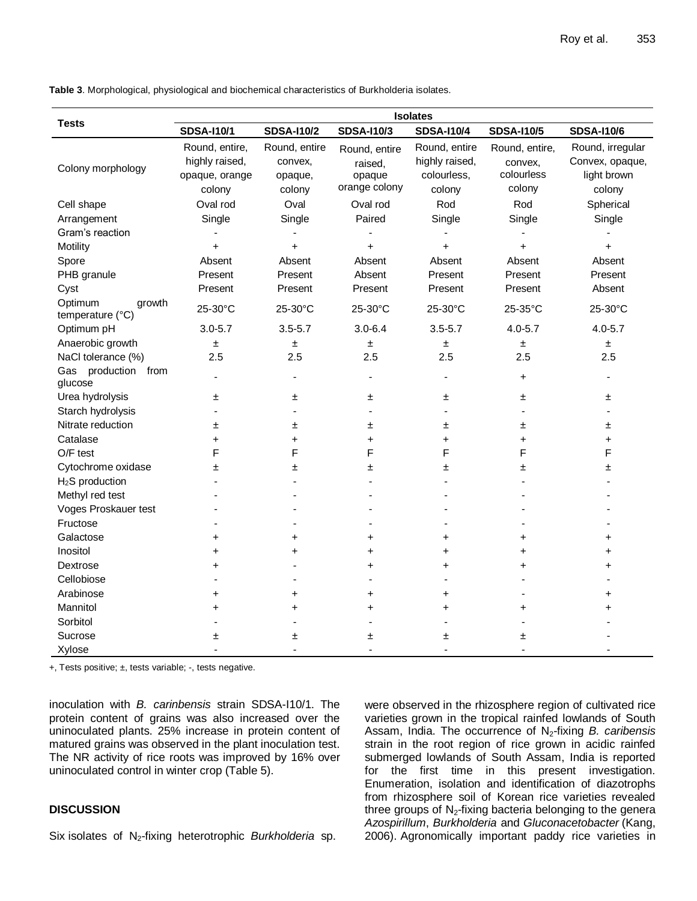| <b>Tests</b>                          | <b>Isolates</b>          |                   |                   |                   |                   |                   |  |
|---------------------------------------|--------------------------|-------------------|-------------------|-------------------|-------------------|-------------------|--|
|                                       | <b>SDSA-I10/1</b>        | <b>SDSA-I10/2</b> | <b>SDSA-I10/3</b> | <b>SDSA-I10/4</b> | <b>SDSA-I10/5</b> | <b>SDSA-I10/6</b> |  |
|                                       | Round, entire,           | Round, entire     | Round, entire     | Round, entire     | Round, entire,    | Round, irregular  |  |
| Colony morphology                     | highly raised,           | convex,           | raised,           | highly raised,    | convex.           | Convex, opaque,   |  |
|                                       | opaque, orange           | opaque,           | opaque            | colourless,       | colourless        | light brown       |  |
|                                       | colony                   | colony            | orange colony     | colony            | colony            | colony            |  |
| Cell shape                            | Oval rod                 | Oval              | Oval rod          | Rod               | Rod               | Spherical         |  |
| Arrangement                           | Single                   | Single            | Paired            | Single            | Single            | Single            |  |
| Gram's reaction                       |                          |                   |                   |                   |                   |                   |  |
| Motility                              | $\ddot{}$                | $+$               | $+$               | $+$               | $\ddot{}$         | $+$               |  |
| Spore                                 | Absent                   | Absent            | Absent            | Absent            | Absent            | Absent            |  |
| PHB granule                           | Present                  | Present           | Absent            | Present           | Present           | Present           |  |
| Cyst                                  | Present                  | Present           | Present           | Present           | Present           | Absent            |  |
| Optimum<br>growth<br>temperature (°C) | 25-30°C                  | 25-30°C           | 25-30°C           | 25-30°C           | 25-35°C           | 25-30°C           |  |
| Optimum pH                            | $3.0 - 5.7$              | $3.5 - 5.7$       | $3.0 - 6.4$       | $3.5 - 5.7$       | $4.0 - 5.7$       | $4.0 - 5.7$       |  |
| Anaerobic growth                      | ±.                       | $\pm$             | ±                 | $\pm$             | $\pm$             | ±.                |  |
| NaCl tolerance (%)                    | 2.5                      | 2.5               | 2.5               | 2.5               | 2.5               | 2.5               |  |
| Gas production from<br>glucose        | ÷,                       | $\blacksquare$    | $\blacksquare$    | $\blacksquare$    | $\ddot{}$         | $\blacksquare$    |  |
| Urea hydrolysis                       | 土                        | 土                 | 土                 | ±.                | ±                 | Ŧ.                |  |
| Starch hydrolysis                     |                          |                   |                   | ٠                 |                   |                   |  |
| Nitrate reduction                     | 土                        | 土                 | ±.                | ±.                | Ŧ                 | Ŧ.                |  |
| Catalase                              | +                        | +                 | $\ddot{}$         | $\ddot{}$         | $\ddot{}$         | $+$               |  |
| O/F test                              | F                        | F                 | F                 | F                 | F                 | F                 |  |
| Cytochrome oxidase                    | Ŧ                        | Ŧ                 | ±.                | Ŧ                 | Ŧ                 | ±.                |  |
| $H2S$ production                      |                          |                   |                   |                   |                   |                   |  |
| Methyl red test                       |                          |                   |                   |                   |                   |                   |  |
| Voges Proskauer test                  |                          |                   |                   |                   |                   |                   |  |
| Fructose                              |                          |                   |                   |                   |                   |                   |  |
| Galactose                             | +                        | +                 | $\ddot{}$         | $\ddot{}$         | $\ddot{}$         | +                 |  |
| Inositol                              | +                        | +                 | $\ddot{}$         | $\ddot{}$         | $\ddot{}$         | +                 |  |
| Dextrose                              | +                        |                   | $\ddot{}$         | $\ddot{}$         | +                 | +                 |  |
| Cellobiose                            |                          |                   |                   |                   |                   |                   |  |
| Arabinose                             | $\ddag$                  | $\ddag$           | $\ddot{}$         | $\ddot{}$         |                   | +                 |  |
| Mannitol                              | +                        | +                 | $\ddot{}$         | $\ddot{}$         | +                 | +                 |  |
| Sorbitol                              |                          |                   |                   |                   |                   |                   |  |
| Sucrose                               | ±                        | 土                 | ±                 | ±                 | ±                 |                   |  |
| Xylose                                | $\overline{\phantom{a}}$ | $\blacksquare$    | $\overline{a}$    | $\sim$            |                   |                   |  |

**Table 3**. Morphological, physiological and biochemical characteristics of Burkholderia isolates.

+, Tests positive; ±, tests variable; -, tests negative.

inoculation with *B. carinbensis* strain SDSA-I10/1. The protein content of grains was also increased over the uninoculated plants. 25% increase in protein content of matured grains was observed in the plant inoculation test. The NR activity of rice roots was improved by 16% over uninoculated control in winter crop (Table 5).

# **DISCUSSION**

Six isolates of N2-fixing heterotrophic *Burkholderia* sp.

were observed in the rhizosphere region of cultivated rice varieties grown in the tropical rainfed lowlands of South Assam, India. The occurrence of N<sub>2</sub>-fixing *B. caribensis* strain in the root region of rice grown in acidic rainfed submerged lowlands of South Assam, India is reported for the first time in this present investigation. Enumeration, isolation and identification of diazotrophs from rhizosphere soil of Korean rice varieties revealed three groups of  $N_2$ -fixing bacteria belonging to the genera *Azospirillum*, *Burkholderia* and *Gluconacetobacter* (Kang, 2006). Agronomically important paddy rice varieties in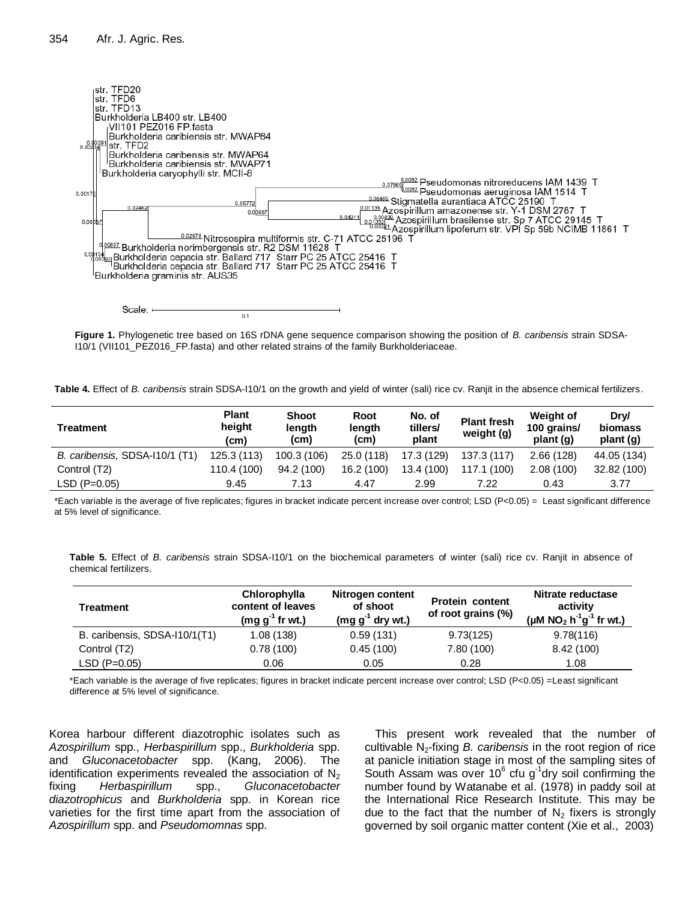

**Figure 1.** Phylogenetic tree based on 16S rDNA gene sequence comparison showing the position of *B. caribensis* strain SDSA-I10/1 (VII101\_PEZ016\_FP.fasta) and other related strains of the family Burkholderiaceae.

**Table 4.** Effect of *B. caribensis* strain SDSA-I10/1 on the growth and yield of winter (sali) rice cv. Ranjit in the absence chemical fertilizers.

| <b>Treatment</b>               | <b>Plant</b><br>height<br>(c <sub>m</sub> ) | <b>Shoot</b><br>length<br>(cm) | Root<br>length<br>(cm) | No. of<br>tillers/<br>plant | <b>Plant fresh</b><br>weight (g) | <b>Weight of</b><br>100 grains/<br>plant (g) | Drv/<br><b>biomass</b><br>plant (g) |
|--------------------------------|---------------------------------------------|--------------------------------|------------------------|-----------------------------|----------------------------------|----------------------------------------------|-------------------------------------|
| B. caribensis, SDSA-110/1 (T1) | 125.3(113)                                  | 100.3 (106)                    | 25.0(118)              | 17.3 (129)                  | 137.3 (117)                      | 2.66(128)                                    | 44.05 (134)                         |
| Control (T2)                   | 110.4 (100)                                 | 94.2 (100)                     | 16.2 (100)             | 13.4 (100)                  | 117.1 (100)                      | 2.08(100)                                    | 32.82 (100)                         |
| $LSD (P=0.05)$                 | 9.45                                        | 7.13                           | 4.47                   | 2.99                        | 7.22                             | 0.43                                         | 3.77                                |

\*Each variable is the average of five replicates; figures in bracket indicate percent increase over control; LSD (P<0.05) = Least significant difference at 5% level of significance.

**Table 5.** Effect of *B. caribensis* strain SDSA-I10/1 on the biochemical parameters of winter (sali) rice cv. Ranjit in absence of chemical fertilizers.

| <b>Treatment</b>              | Chlorophylla<br>content of leaves<br>$(mg g-1$ fr wt.) | Nitrogen content<br>of shoot<br>$(mg g-1$ dry wt.) | <b>Protein content</b><br>of root grains (%) | Nitrate reductase<br>activity<br>(µM NO <sub>2</sub> h <sup>-1</sup> g <sup>-1</sup> fr wt.) |
|-------------------------------|--------------------------------------------------------|----------------------------------------------------|----------------------------------------------|----------------------------------------------------------------------------------------------|
| B. caribensis, SDSA-I10/1(T1) | 1.08(138)                                              | 0.59(131)                                          | 9.73(125)                                    | 9.78(116)                                                                                    |
| Control (T2)                  | 0.78(100)                                              | 0.45(100)                                          | 7.80 (100)                                   | 8.42 (100)                                                                                   |
| $LSD (P=0.05)$                | 0.06                                                   | 0.05                                               | 0.28                                         | 1.08                                                                                         |

\*Each variable is the average of five replicates; figures in bracket indicate percent increase over control; LSD (P<0.05) =Least significant difference at 5% level of significance.

Korea harbour different diazotrophic isolates such as *Azospirillum* spp., *Herbaspirillum* spp., *Burkholderia* spp. and *Gluconacetobacter* spp. (Kang, 2006). The identification experiments revealed the association of  $N<sub>2</sub>$ fixing *Herbaspirillum* spp., *Gluconacetobacter diazotrophicus* and *Burkholderia* spp. in Korean rice varieties for the first time apart from the association of *Azospirillum* spp. and *Pseudomomnas* spp.

This present work revealed that the number of cultivable N2-fixing *B. caribensis* in the root region of rice at panicle initiation stage in most of the sampling sites of South Assam was over 10 $^6$  cfu g<sup>-1</sup>dry soil confirming the number found by Watanabe et al. (1978) in paddy soil at the International Rice Research Institute. This may be due to the fact that the number of  $N_2$  fixers is strongly governed by soil organic matter content (Xie et al., 2003)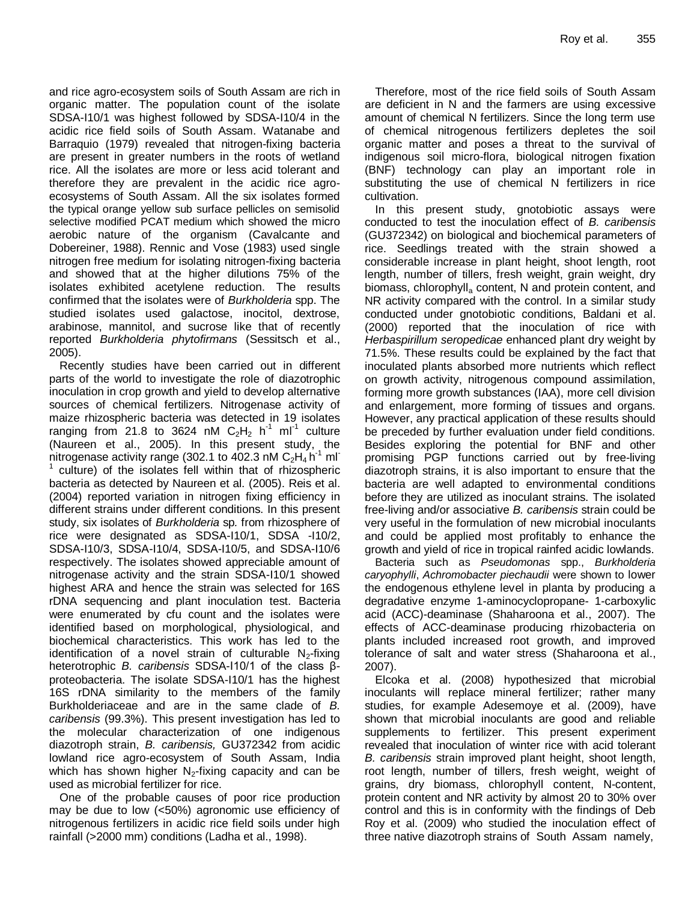and rice agro-ecosystem soils of South Assam are rich in organic matter. The population count of the isolate SDSA-I10/1 was highest followed by SDSA-I10/4 in the acidic rice field soils of South Assam. Watanabe and Barraquio (1979) revealed that nitrogen-fixing bacteria are present in greater numbers in the roots of wetland rice. All the isolates are more or less acid tolerant and therefore they are prevalent in the acidic rice agroecosystems of South Assam. All the six isolates formed the typical orange yellow sub surface pellicles on semisolid selective modified PCAT medium which showed the micro aerobic nature of the organism (Cavalcante and Dobereiner, 1988). Rennic and Vose (1983) used single nitrogen free medium for isolating nitrogen-fixing bacteria and showed that at the higher dilutions 75% of the isolates exhibited acetylene reduction. The results confirmed that the isolates were of *Burkholderia* spp. The studied isolates used galactose, inocitol, dextrose, arabinose, mannitol, and sucrose like that of recently reported *Burkholderia phytofirmans* (Sessitsch et al., 2005).

Recently studies have been carried out in different parts of the world to investigate the role of diazotrophic inoculation in crop growth and yield to develop alternative sources of chemical fertilizers. Nitrogenase activity of maize rhizospheric bacteria was detected in 19 isolates ranging from 21.8 to 3624 nM  $C_2H_2$  h<sup>-1</sup> ml<sup>-1</sup> culture (Naureen et al., 2005). In this present study, the nitrogenase activity range (302.1 to 402.3 nM  $C_2H_4$  h<sup>-1</sup> ml<sup>-</sup> 1 culture) of the isolates fell within that of rhizospheric bacteria as detected by Naureen et al. (2005). Reis et al. (2004) reported variation in nitrogen fixing efficiency in different strains under different conditions. In this present study, six isolates of *Burkholderia* sp*.* from rhizosphere of rice were designated as SDSA-I10/1, SDSA -I10/2, SDSA-I10/3, SDSA-I10/4, SDSA-I10/5, and SDSA-I10/6 respectively. The isolates showed appreciable amount of nitrogenase activity and the strain SDSA-I10/1 showed highest ARA and hence the strain was selected for 16S rDNA sequencing and plant inoculation test. Bacteria were enumerated by cfu count and the isolates were identified based on morphological, physiological, and biochemical characteristics. This work has led to the identification of a novel strain of culturable  $N_2$ -fixing heterotrophic *B. caribensis* SDSA-I10/1 of the class βproteobacteria. The isolate SDSA-I10/1 has the highest 16S rDNA similarity to the members of the family Burkholderiaceae and are in the same clade of *B. caribensis* (99.3%). This present investigation has led to the molecular characterization of one indigenous diazotroph strain, *B. caribensis,* GU372342 from acidic lowland rice agro-ecosystem of South Assam, India which has shown higher  $N_2$ -fixing capacity and can be used as microbial fertilizer for rice.

One of the probable causes of poor rice production may be due to low (<50%) agronomic use efficiency of nitrogenous fertilizers in acidic rice field soils under high rainfall (>2000 mm) conditions (Ladha et al., 1998).

Therefore, most of the rice field soils of South Assam are deficient in N and the farmers are using excessive amount of chemical N fertilizers. Since the long term use of chemical nitrogenous fertilizers depletes the soil organic matter and poses a threat to the survival of indigenous soil micro-flora, biological nitrogen fixation (BNF) technology can play an important role in substituting the use of chemical N fertilizers in rice cultivation.

In this present study, gnotobiotic assays were conducted to test the inoculation effect of *B. caribensis* (GU372342) on biological and biochemical parameters of rice. Seedlings treated with the strain showed a considerable increase in plant height, shoot length, root length, number of tillers, fresh weight, grain weight, dry biomass, chlorophyll<sub>a</sub> content, N and protein content, and NR activity compared with the control. In a similar study conducted under gnotobiotic conditions, Baldani et al. (2000) reported that the inoculation of rice with *Herbaspirillum seropedicae* enhanced plant dry weight by 71.5%. These results could be explained by the fact that inoculated plants absorbed more nutrients which reflect on growth activity, nitrogenous compound assimilation, forming more growth substances (IAA), more cell division and enlargement, more forming of tissues and organs. However, any practical application of these results should be preceded by further evaluation under field conditions. Besides exploring the potential for BNF and other promising PGP functions carried out by free-living diazotroph strains, it is also important to ensure that the bacteria are well adapted to environmental conditions before they are utilized as inoculant strains. The isolated free-living and/or associative *B. caribensis* strain could be very useful in the formulation of new microbial inoculants and could be applied most profitably to enhance the growth and yield of rice in tropical rainfed acidic lowlands.

Bacteria such as *Pseudomonas* spp., *Burkholderia caryophylli*, *Achromobacter piechaudii* were shown to lower the endogenous ethylene level in planta by producing a degradative enzyme 1-aminocyclopropane- 1-carboxylic acid (ACC)-deaminase (Shaharoona et al., 2007). The effects of ACC-deaminase producing rhizobacteria on plants included increased root growth, and improved tolerance of salt and water stress (Shaharoona et al., 2007).

Elcoka et al. (2008) hypothesized that microbial inoculants will replace mineral fertilizer; rather many studies, for example Adesemoye et al. (2009), have shown that microbial inoculants are good and reliable supplements to fertilizer. This present experiment revealed that inoculation of winter rice with acid tolerant *B. caribensis* strain improved plant height, shoot length, root length, number of tillers, fresh weight, weight of grains, dry biomass, chlorophyll content, N-content, protein content and NR activity by almost 20 to 30% over control and this is in conformity with the findings of Deb Roy et al. (2009) who studied the inoculation effect of three native diazotroph strains of South Assam namely,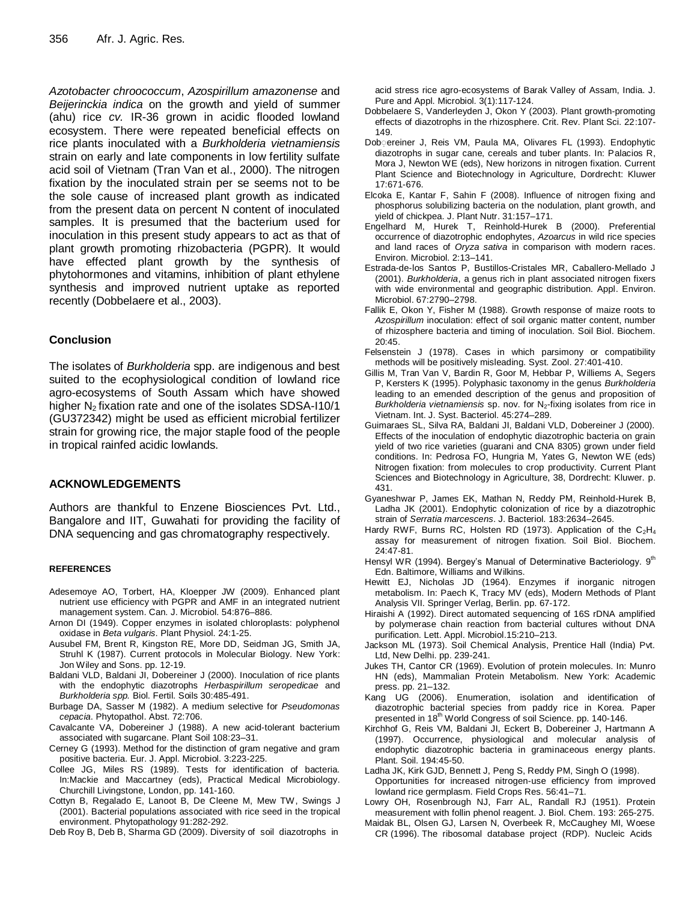*Azotobacter chroococcum*, *Azospirillum amazonense* and *Beijerinckia indica* on the growth and yield of summer (ahu) rice *cv.* IR-36 grown in acidic flooded lowland ecosystem. There were repeated beneficial effects on rice plants inoculated with a *Burkholderia vietnamiensis* strain on early and late components in low fertility sulfate acid soil of Vietnam (Tran Van et al., 2000). The nitrogen fixation by the inoculated strain per se seems not to be the sole cause of increased plant growth as indicated from the present data on percent N content of inoculated samples. It is presumed that the bacterium used for inoculation in this present study appears to act as that of plant growth promoting rhizobacteria (PGPR). It would have effected plant growth by the synthesis of phytohormones and vitamins, inhibition of plant ethylene synthesis and improved nutrient uptake as reported recently (Dobbelaere et al., 2003).

## **Conclusion**

The isolates of *Burkholderia* spp. are indigenous and best suited to the ecophysiological condition of lowland rice agro-ecosystems of South Assam which have showed higher  $N_2$  fixation rate and one of the isolates SDSA-I10/1 (GU372342) might be used as efficient microbial fertilizer strain for growing rice, the major staple food of the people in tropical rainfed acidic lowlands.

## **ACKNOWLEDGEMENTS**

Authors are thankful to Enzene Biosciences Pvt. Ltd., Bangalore and IIT, Guwahati for providing the facility of DNA sequencing and gas chromatography respectively.

#### **REFERENCES**

- Adesemoye AO, Torbert, HA, Kloepper JW (2009). Enhanced plant nutrient use efficiency with PGPR and AMF in an integrated nutrient management system. Can. J. Microbiol. 54:876–886.
- Arnon DI (1949). Copper enzymes in isolated chloroplasts: polyphenol oxidase in *Beta vulgaris*. Plant Physiol. 24:1-25.
- Ausubel FM, Brent R, Kingston RE, More DD, Seidman JG, Smith JA, Struhl K (1987). Current protocols in Molecular Biology. New York: Jon Wiley and Sons. pp. 12-19.
- Baldani VLD, Baldani JI, Dobereiner J (2000). Inoculation of rice plants with the endophytic diazotrophs *Herbaspirillum seropedicae* and *Burkholderia spp.* Biol. Fertil. Soils 30:485-491.
- Burbage DA, Sasser M (1982). A medium selective for *Pseudomonas cepacia*. Phytopathol. Abst. 72:706.
- Cavalcante VA, Dobereiner J (1988). A new acid-tolerant bacterium associated with sugarcane. Plant Soil 108:23–31.
- Cerney G (1993). Method for the distinction of gram negative and gram positive bacteria. Eur. J. Appl. Microbiol. 3:223-225.
- Collee JG, Miles RS (1989). Tests for identification of bacteria. In:Mackie and Maccartney (eds), Practical Medical Microbiology. Churchill Livingstone, London, pp. 141-160.
- Cottyn B, Regalado E, Lanoot B, De Cleene M, Mew TW, Swings J (2001). Bacterial populations associated with rice seed in the tropical environment. Phytopathology 91:282-292.

Deb Roy B, Deb B, Sharma GD (2009). Diversity of soil diazotrophs in

acid stress rice agro-ecosystems of Barak Valley of Assam, India. J. Pure and Appl. Microbiol. 3(1):117-124.

- Dobbelaere S, Vanderleyden J, Okon Y (2003). Plant growth-promoting effects of diazotrophs in the rhizosphere. Crit. Rev. Plant Sci. 22:107- 149.
- Dob ereiner J, Reis VM, Paula MA, Olivares FL (1993). Endophytic diazotrophs in sugar cane, cereals and tuber plants. In: Palacios R, Mora J, Newton WE (eds), New horizons in nitrogen fixation. Current Plant Science and Biotechnology in Agriculture, Dordrecht: Kluwer 17:671-676.
- Elcoka E, Kantar F, Sahin F (2008). Influence of nitrogen fixing and phosphorus solubilizing bacteria on the nodulation, plant growth, and yield of chickpea. J. Plant Nutr. 31:157–171.
- Engelhard M, Hurek T, Reinhold-Hurek B (2000). Preferential occurrence of diazotrophic endophytes, *Azoarcus* in wild rice species and land races of *Oryza sativa* in comparison with modern races. Environ. Microbiol. 2:13–141.
- Estrada-de-los Santos P, Bustillos-Cristales MR, Caballero-Mellado J (2001). *Burkholderia*, a genus rich in plant associated nitrogen fixers with wide environmental and geographic distribution. Appl. Environ. Microbiol. 67:2790–2798.
- Fallik E, Okon Y, Fisher M (1988). Growth response of maize roots to *Azospirillum* inoculation: effect of soil organic matter content, number of rhizosphere bacteria and timing of inoculation. Soil Biol. Biochem. 20:45.
- Felsenstein J (1978). Cases in which parsimony or compatibility methods will be positively misleading. Syst. Zool. 27:401-410.
- Gillis M, Tran Van V, Bardin R, Goor M, Hebbar P, Williems A, Segers P, Kersters K (1995). Polyphasic taxonomy in the genus *Burkholderia* leading to an emended description of the genus and proposition of *Burkholderia vietnamiensis* sp. nov. for N<sub>2</sub>-fixing isolates from rice in Vietnam. Int. J. Syst. Bacteriol. 45:274–289.
- Guimaraes SL, Silva RA, Baldani JI, Baldani VLD, Dobereiner J (2000). Effects of the inoculation of endophytic diazotrophic bacteria on grain yield of two rice varieties (guarani and CNA 8305) grown under field conditions. In: Pedrosa FO, Hungria M, Yates G, Newton WE (eds) Nitrogen fixation: from molecules to crop productivity. Current Plant Sciences and Biotechnology in Agriculture, 38, Dordrecht: Kluwer. p. 431.
- Gyaneshwar P, James EK, Mathan N, Reddy PM, Reinhold-Hurek B, Ladha JK (2001). Endophytic colonization of rice by a diazotrophic strain of *Serratia marcescens*. J. Bacteriol. 183:2634–2645.
- Hardy RWF, Burns RC, Holsten RD (1973). Application of the  $C_2H_4$ assay for measurement of nitrogen fixation. Soil Biol. Biochem. 24:47-81.
- Hensyl WR (1994). Bergey's Manual of Determinative Bacteriology. 9<sup>th</sup> Edn. Baltimore, Williams and Wilkins.
- Hewitt EJ, Nicholas JD (1964). Enzymes if inorganic nitrogen metabolism. In: Paech K, Tracy MV (eds), Modern Methods of Plant Analysis VII. Springer Verlag, Berlin. pp. 67-172.
- Hiraishi A (1992). Direct automated sequencing of 16S rDNA amplified by polymerase chain reaction from bacterial cultures without DNA purification. Lett. Appl. Microbiol.15:210–213.
- Jackson ML (1973). Soil Chemical Analysis, Prentice Hall (India) Pvt. Ltd, New Delhi. pp. 239-241.
- Jukes TH, Cantor CR (1969). Evolution of protein molecules. In: Munro HN (eds), Mammalian Protein Metabolism. New York: Academic press. pp. 21–132.
- Kang UG (2006). Enumeration, isolation and identification of diazotrophic bacterial species from paddy rice in Korea. Paper presented in 18<sup>th</sup> World Congress of soil Science. pp. 140-146.
- Kirchhof G, Reis VM, Baldani JI, Eckert B, Dobereiner J, Hartmann A (1997). Occurrence, physiological and molecular analysis of endophytic diazotrophic bacteria in graminaceous energy plants. Plant. Soil. 194:45-50.
- Ladha JK, Kirk GJD, Bennett J, Peng S, Reddy PM, Singh O (1998). Opportunities for increased nitrogen-use efficiency from improved lowland rice germplasm. Field Crops Res. 56:41–71.
- Lowry OH, Rosenbrough NJ, Farr AL, Randall RJ (1951). Protein measurement with follin phenol reagent. J. Biol. Chem. 193: 265-275.
- Maidak BL, Olsen GJ, Larsen N, Overbeek R, McCaughey MI, Woese CR (1996). The ribosomal database project (RDP). Nucleic Acids